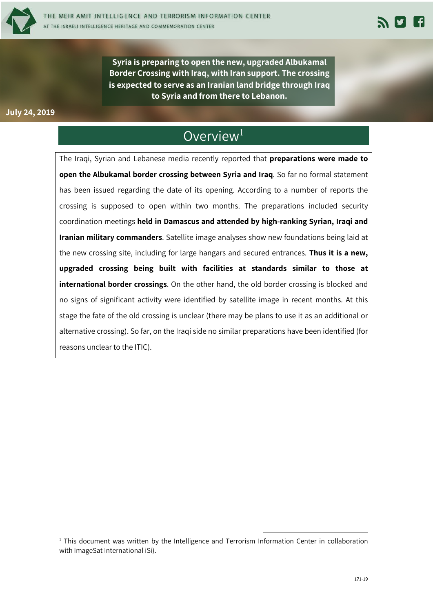

**Syria is preparing to open the new, upgraded Albukamal Border Crossing with Iraq, with Iran support. The crossing is expected to serve as an Iranian land bridge through Iraq to Syria and from there to Lebanon.**

### **July 24, 2019**

## Overview<sup>1</sup>

The Iraqi, Syrian and Lebanese media recently reported that **preparations were made to open the Albukamal border crossing between Syria and Iraq**. So far no formal statement has been issued regarding the date of its opening. According to a number of reports the crossing is supposed to open within two months. The preparations included security coordination meetings **held in Damascus and attended by high-ranking Syrian, Iraqi and Iranian military commanders**. Satellite image analyses show new foundations being laid at the new crossing site, including for large hangars and secured entrances. **Thus it is a new, upgraded crossing being built with facilities at standards similar to those at international border crossings**. On the other hand, the old border crossing is blocked and no signs of significant activity were identified by satellite image in recent months. At this stage the fate of the old crossing is unclear (there may be plans to use it as an additional or alternative crossing). So far, on the Iraqi side no similar preparations have been identified (for reasons unclear to the ITIC).

<sup>&</sup>lt;sup>1</sup> This document was written by the Intelligence and Terrorism Information Center in collaboration with ImageSat International iSi).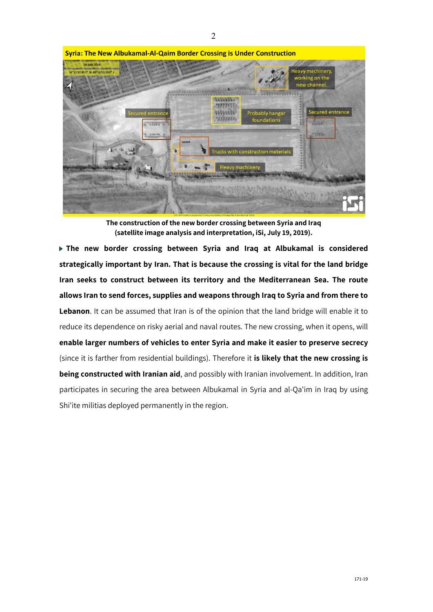

**Syria: The New Albukamal-Al-Qaim Border Crossing is Under Construction** 

**The construction of the new border crossing between Syria and Iraq (satellite image analysis and interpretation, iSi, July 19, 2019).**

**The new border crossing between Syria and Iraq at Albukamal is considered strategically important by Iran. That is because the crossing is vital for the land bridge Iran seeks to construct between its territory and the Mediterranean Sea. The route allows Iran to send forces, supplies and weapons through Iraq to Syria and from there to**  Lebanon. It can be assumed that Iran is of the opinion that the land bridge will enable it to reduce its dependence on risky aerial and naval routes. The new crossing, when it opens, will **enable larger numbers of vehicles to enter Syria and make it easier to preserve secrecy**  (since it is farther from residential buildings). Therefore it **is likely that the new crossing is being constructed with Iranian aid**, and possibly with Iranian involvement. In addition, Iran participates in securing the area between Albukamal in Syria and al-Qa'im in Iraq by using Shi'ite militias deployed permanently in the region.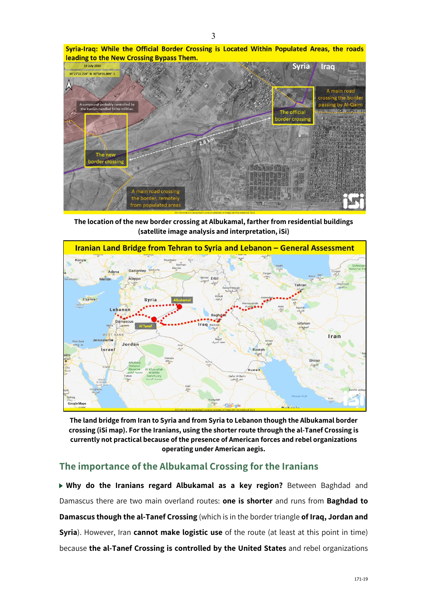



**The location of the new border crossing at Albukamal, farther from residential buildings (satellite image analysis and interpretation, iSi)**



**The land bridge from Iran to Syria and from Syria to Lebanon though the Albukamal border crossing (iSi map). For the Iranians, using the shorter route through the al-Tanef Crossing is currently not practical because of the presence of American forces and rebel organizations operating under American aegis.**

## **The importance of the Albukamal Crossing for the Iranians**

**Why do the Iranians regard Albukamal as a key region?** Between Baghdad and Damascus there are two main overland routes: **one is shorter** and runs from **Baghdad to Damascus though the al-Tanef Crossing** (which is in the border triangle **of Iraq, Jordan and Syria**). However, Iran **cannot make logistic use** of the route (at least at this point in time) because **the al-Tanef Crossing is controlled by the United States** and rebel organizations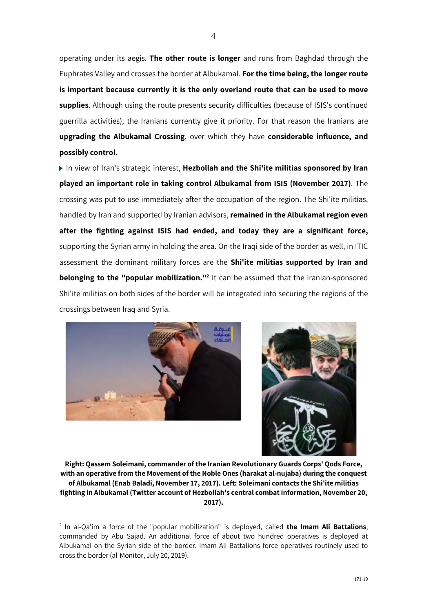operating under its aegis. **The other route is longer** and runs from Baghdad through the Euphrates Valley and crosses the border at Albukamal. **For the time being, the longer route is important because currently it is the only overland route that can be used to move supplies**. Although using the route presents security difficulties (because of ISIS's continued guerrilla activities), the Iranians currently give it priority. For that reason the Iranians are **upgrading the Albukamal Crossing**, over which they have **considerable influence, and possibly control**.

▶ In view of Iran's strategic interest, Hezbollah and the Shi'ite militias sponsored by Iran **played an important role in taking control Albukamal from ISIS (November 2017)**. The crossing was put to use immediately after the occupation of the region. The Shi'ite militias, handled by Iran and supported by Iranian advisors, **remained in the Albukamal region even after the fighting against ISIS had ended, and today they are a significant force,** supporting the Syrian army in holding the area. On the Iraqi side of the border as well, in ITIC assessment the dominant military forces are the **Shi'ite militias supported by Iran and belonging to the "popular mobilization."**<sup>2</sup> It can be assumed that the Iranian-sponsored Shi'ite militias on both sides of the border will be integrated into securing the regions of the crossings between Iraq and Syria.





**Right: Qassem Soleimani, commander of the Iranian Revolutionary Guards Corps' Qods Force, with an operative from the Movement of the Noble Ones (harakat al-nujaba) during the conquest of Albukamal (Enab Baladi, November 17, 2017). Left: Soleimani contacts the Shi'ite militias fighting in Albukamal (Twitter account of Hezbollah's central combat information, November 20, 2017).**

<sup>2</sup> In al-Qa'im a force of the "popular mobilization" is deployed, called **the Imam Ali Battalions**, commanded by Abu Sajad. An additional force of about two hundred operatives is deployed at Albukamal on the Syrian side of the border. Imam Ali Battalions force operatives routinely used to cross the border (al-Monitor, July 20, 2019).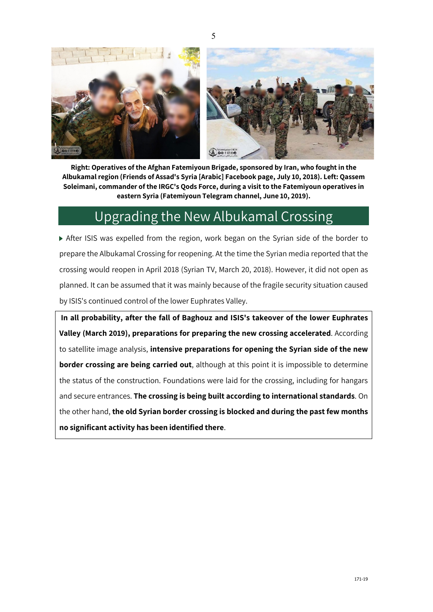5



**Right: Operatives of the Afghan Fatemiyoun Brigade, sponsored by Iran, who fought in the Albukamal region (Friends of Assad's Syria [Arabic] Facebook page, July 10, 2018). Left: Qassem Soleimani, commander of the IRGC's Qods Force, during a visit to the Fatemiyoun operatives in eastern Syria (Fatemiyoun Telegram channel, June 10, 2019).**

# Upgrading the New Albukamal Crossing

After ISIS was expelled from the region, work began on the Syrian side of the border to prepare the Albukamal Crossing for reopening. At the time the Syrian media reported that the crossing would reopen in April 2018 (Syrian TV, March 20, 2018). However, it did not open as planned. It can be assumed that it was mainly because of the fragile security situation caused by ISIS's continued control of the lower Euphrates Valley.

**In all probability, after the fall of Baghouz and ISIS's takeover of the lower Euphrates Valley (March 2019), preparations for preparing the new crossing accelerated**. According to satellite image analysis, **intensive preparations for opening the Syrian side of the new border crossing are being carried out**, although at this point it is impossible to determine the status of the construction. Foundations were laid for the crossing, including for hangars and secure entrances. **The crossing is being built according to international standards**. On the other hand, **the old Syrian border crossing is blocked and during the past few months no significant activity has been identified there**.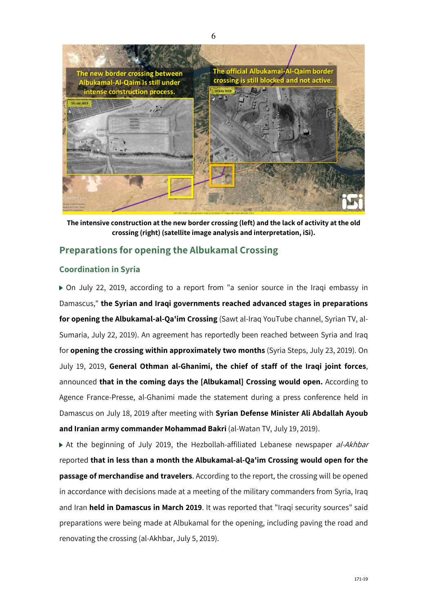

**The intensive construction at the new border crossing (left) and the lack of activity at the old crossing (right) (satellite image analysis and interpretation, iSi).**

## **Preparations for opening the Albukamal Crossing**

### **Coordination in Syria**

On July 22, 2019, according to a report from "a senior source in the Iraqi embassy in Damascus," **the Syrian and Iraqi governments reached advanced stages in preparations for opening the Albukamal-al-Qa'im Crossing** (Sawt al-Iraq YouTube channel, Syrian TV, al-Sumaria, July 22, 2019). An agreement has reportedly been reached between Syria and Iraq for **opening the crossing within approximately two months** (Syria Steps, July 23, 2019). On July 19, 2019, **General Othman al-Ghanimi, the chief of staff of the Iraqi joint forces**, announced **that in the coming days the [Albukamal] Crossing would open.** According to Agence France-Presse, al-Ghanimi made the statement during a press conference held in Damascus on July 18, 2019 after meeting with **Syrian Defense Minister Ali Abdallah Ayoub and Iranian army commander Mohammad Bakri** (al-Watan TV, July 19, 2019).

At the beginning of July 2019, the Hezbollah-affiliated Lebanese newspaper al-Akhbar reported **that in less than a month the Albukamal-al-Qa'im Crossing would open for the passage of merchandise and travelers**. According to the report, the crossing will be opened in accordance with decisions made at a meeting of the military commanders from Syria, Iraq and Iran **held in Damascus in March 2019**. It was reported that "Iraqi security sources" said preparations were being made at Albukamal for the opening, including paving the road and renovating the crossing (al-Akhbar, July 5, 2019).